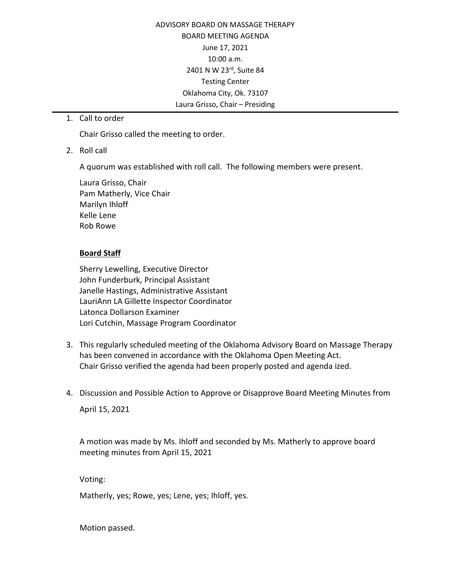ADVISORY BOARD ON MASSAGE THERAPY BOARD MEETING AGENDA June 17, 2021 10:00 a.m. 2401 N W 23rd, Suite 84 Testing Center Oklahoma City, Ok. 73107 Laura Grisso, Chair – Presiding

1. Call to order

Chair Grisso called the meeting to order.

2. Roll call

A quorum was established with roll call. The following members were present.

Laura Grisso, Chair Pam Matherly, Vice Chair Marilyn Ihloff Kelle Lene Rob Rowe

## **Board Staff**

Sherry Lewelling, Executive Director John Funderburk, Principal Assistant Janelle Hastings, Administrative Assistant LauriAnn LA Gillette Inspector Coordinator Latonca Dollarson Examiner Lori Cutchin, Massage Program Coordinator

- 3. This regularly scheduled meeting of the Oklahoma Advisory Board on Massage Therapy has been convened in accordance with the Oklahoma Open Meeting Act. Chair Grisso verified the agenda had been properly posted and agenda ized.
- 4. Discussion and Possible Action to Approve or Disapprove Board Meeting Minutes from

April 15, 2021

A motion was made by Ms. Ihloff and seconded by Ms. Matherly to approve board meeting minutes from April 15, 2021

Voting:

Matherly, yes; Rowe, yes; Lene, yes; Ihloff, yes.

Motion passed.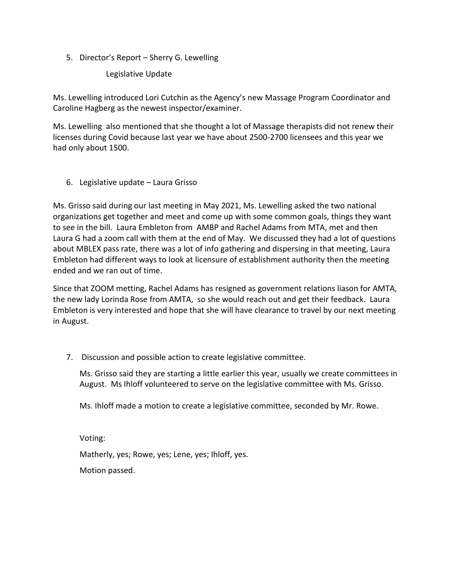5. Director's Report – Sherry G. Lewelling

Legislative Update

Ms. Lewelling introduced Lori Cutchin as the Agency's new Massage Program Coordinator and Caroline Hagberg as the newest inspector/examiner.

Ms. Lewelling also mentioned that she thought a lot of Massage therapists did not renew their licenses during Covid because last year we have about 2500-2700 licensees and this year we had only about 1500.

6. Legislative update – Laura Grisso

Ms. Grisso said during our last meeting in May 2021, Ms. Lewelling asked the two national organizations get together and meet and come up with some common goals, things they want to see in the bill. Laura Embleton from AMBP and Rachel Adams from MTA, met and then Laura G had a zoom call with them at the end of May. We discussed they had a lot of questions about MBLEX pass rate, there was a lot of info gathering and dispersing in that meeting, Laura Embleton had different ways to look at licensure of establishment authority then the meeting ended and we ran out of time.

Since that ZOOM metting, Rachel Adams has resigned as government relations liason for AMTA, the new lady Lorinda Rose from AMTA, so she would reach out and get their feedback. Laura Embleton is very interested and hope that she will have clearance to travel by our next meeting in August.

7. Discussion and possible action to create legislative committee.

Ms. Grisso said they are starting a little earlier this year, usually we create committees in August. Ms Ihloff volunteered to serve on the legislative committee with Ms. Grisso.

Ms. Ihloff made a motion to create a legislative committee, seconded by Mr. Rowe.

Voting:

Matherly, yes; Rowe, yes; Lene, yes; Ihloff, yes.

Motion passed.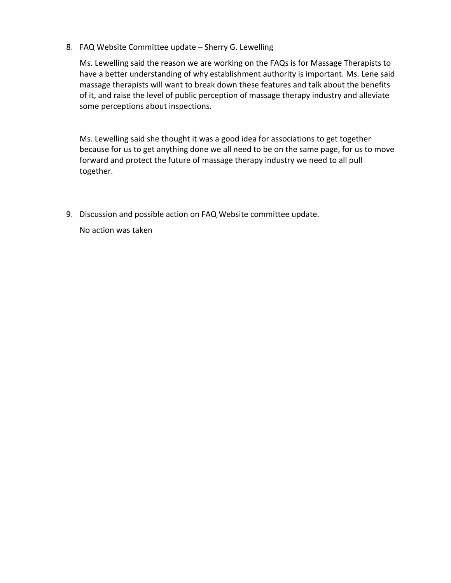8. FAQ Website Committee update – Sherry G. Lewelling

Ms. Lewelling said the reason we are working on the FAQs is for Massage Therapists to have a better understanding of why establishment authority is important. Ms. Lene said massage therapists will want to break down these features and talk about the benefits of it, and raise the level of public perception of massage therapy industry and alleviate some perceptions about inspections.

Ms. Lewelling said she thought it was a good idea for associations to get together because for us to get anything done we all need to be on the same page, for us to move forward and protect the future of massage therapy industry we need to all pull together.

9. Discussion and possible action on FAQ Website committee update.

No action was taken